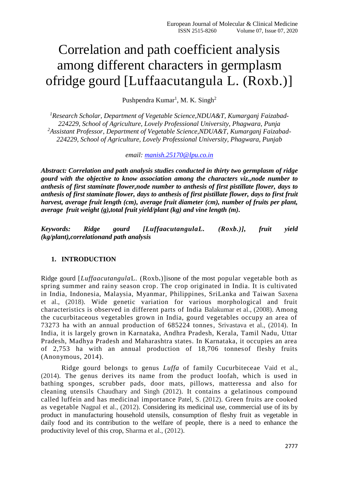# Correlation and path coefficient analysis among different characters in germplasm ofridge gourd [Luffaacutangula L. (Roxb.)]

Pushpendra Kumar<sup>1</sup>, M. K. Singh<sup>2</sup>

*<sup>1</sup>Research Scholar, Department of Vegetable Science,NDUA&T, Kumarganj Faizabad-224229, School of Agriculture, Lovely Professional University, Phagwara, Punja <sup>2</sup>Assistant Professor, Department of Vegetable Science,NDUA&T, Kumarganj Faizabad-224229, School of Agriculture, Lovely Professional University, Phagwara, Punjab*

*email: [manish.25170@lpu.co.in](mailto:manish.25170@lpu.co.in)*

*Abstract: Correlation and path analysis studies conducted in thirty two germplasm of ridge gourd with the objective to know association among the characters viz.,node number to anthesis of first staminate flower,node number to anthesis of first pistillate flower, days to anthesis of first staminate flower, days to anthesis of first pistillate flower, days to first fruit harvest, average fruit length (cm), average fruit diameter (cm), number of fruits per plant, average fruit weight (g),total fruit yield/plant (kg) and vine length (m).*

*Keywords: Ridge gourd [LuffaacutangulaL. (Roxb.)], fruit yield (kg/plant),correlationand path analysis*

# **1. INTRODUCTION**

Ridge gourd [*Luffaacutangula*L. (Roxb**.**)]isone of the most popular vegetable both as spring summer and rainy season crop. The crop originated in India. It is cultivated in India, Indonesia, Malaysia, Myanmar, Philippines, SriLanka and Taiwan Saxena et al., (2018). Wide genetic variation for various morphological and fruit characteristics is observed in different parts of India Balakumar et al., (2008). Among the cucurbitaceous vegetables grown in India, gourd vegetables occupy an area of 73273 ha with an annual production of 685224 tonnes, Srivastava et al., (2014). In India, it is largely grown in Karnataka, Andhra Pradesh, Kerala, Tamil Nadu, Uttar Pradesh, Madhya Pradesh and Maharashtra states. In Karnataka, it occupies an area of 2,753 ha with an annual production of 18,706 tonnesof fleshy fruits (Anonymous, 2014).

Ridge gourd belongs to genus *Luffa* of family Cucurbiteceae Vaid et al., (2014). The genus derives its name from the product loofah, which is used in bathing sponges, scrubber pads, door mats, pillows, matteressa and also for cleaning utensils Chaudhary and Singh (2012). It contains a gelatinous compound called luffein and has medicinal importance Patel, S. (2012). Green fruits are cooked as vegetable Nagpal et al., (2012). Considering its medicinal use, commercial use of its by product in manufacturing household utensils, consumption of fleshy fruit as vegetable in daily food and its contribution to the welfare of people, there is a need to enhance the productivity level of this crop, Sharma et al., (2012).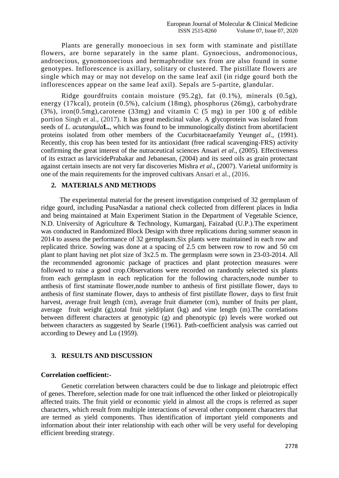Plants are generally monoecious in sex form with staminate and pistillate flowers, are borne separately in the same plant. Gynoecious, andromonocious, androecious, gynomonoecious and hermaphrodite sex from are also found in some genotypes. Inflorescence is axillary, solitary or clustered. The pistillate flowers are single which may or may not develop on the same leaf axil (in ridge gourd both the inflorescences appear on the same leaf axil). Sepals are 5-partite, glandular.

Ridge gourdfruits contain moisture (95.2g), fat (0.1%), minerals (0.5g), energy (17kcal), protein (0.5%), calcium (18mg), phosphorus (26mg), carbohydrate (3%), iron(0.5mg),carotene (33mg) and vitamin C (5 mg) in per 100 g of edible portion Singh et al., (2017). It has great medicinal value. A glycoprotein was isolated from seeds of *L. acutangula***L.**, which was found to be immunologically distinct from abortifacient proteins isolated from other members of the Cucurbitaceaefamily Yeung*et al*., (1991). Recently, this crop has been tested for its antioxidant (free radical scavenging-FRS) activity confirming the great interest of the nutraceutical sciences Ansari *et al*., (2005). Effectiveness of its extract as larvicidePrabakar and Jebanesan, (2004) and its seed oils as grain protectant against certain insects are not very far discoveries Mishra *et al*., (2007). Varietal uniformity is one of the main requirements for the improved cultivars Ansari et al., (2016.

## **2. MATERIALS AND METHODS**

 The experimental material for the present investigation comprised of 32 germplasm of ridge gourd, including PusaNasdar a national check collected from different places in India and being maintained at Main Experiment Station in the Department of Vegetable Science, N.D. University of Agriculture & Technology, Kumarganj, Faizabad (U.P.).The experiment was conducted in Randomized Block Design with three replications during summer season in 2014 to assess the performance of 32 germplasm.Six plants were maintained in each row and replicated thrice. Sowing was done at a spacing of 2.5 cm between row to row and 50 cm plant to plant having net plot size of 3x2.5 m. The germplasm were sown in 23-03-2014. All the recommended agronomic package of practices and plant protection measures were followed to raise a good crop.Observations were recorded on randomly selected six plants from each germplasm in each replication for the following characters,node number to anthesis of first staminate flower,node number to anthesis of first pistillate flower, days to anthesis of first staminate flower, days to anthesis of first pistillate flower, days to first fruit harvest, average fruit length (cm), average fruit diameter (cm), number of fruits per plant, average fruit weight (g),total fruit yield/plant (kg) and vine length (m).The correlations between different characters at genotypic (g) and phenotypic (p) levels were worked out between characters as suggested by Searle (1961). Path-coefficient analysis was carried out according to Dewey and Lu (1959).

#### **3. RESULTS AND DISCUSSION**

#### **Correlation coefficient:-**

Genetic correlation between characters could be due to linkage and pleiotropic effect of genes. Therefore, selection made for one trait influenced the other linked or pleiotropically affected traits. The fruit yield or economic yield in almost all the crops is referred as super characters, which result from multiple interactions of several other component characters that are termed as yield components. Thus identification of important yield components and information about their inter relationship with each other will be very useful for developing efficient breeding strategy.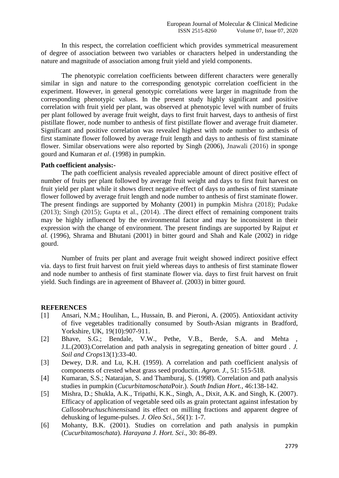In this respect, the correlation coefficient which provides symmetrical measurement of degree of association between two variables or characters helped in understanding the nature and magnitude of association among fruit yield and yield components.

The phenotypic correlation coefficients between different characters were generally similar in sign and nature to the corresponding genotypic correlation coefficient in the experiment. However, in general genotypic correlations were larger in magnitude from the corresponding phenotypic values. In the present study highly significant and positive correlation with fruit yield per plant, was observed at phenotypic level with number of fruits per plant followed by average fruit weight, days to first fruit harvest, days to anthesis of first pistillate flower, node number to anthesis of first pistillate flower and average fruit diameter. Significant and positive correlation was revealed highest with node number to anthesis of first staminate flower followed by average fruit length and days to anthesis of first staminate flower. Similar observations were also reported by Singh (2006), Jnawali (2016) in sponge gourd and Kumaran *et al*. (1998) in pumpkin.

## **Path coefficient analysis:-**

The path coefficient analysis revealed appreciable amount of direct positive effect of number of fruits per plant followed by average fruit weight and days to first fruit harvest on fruit yield per plant while it shows direct negative effect of days to anthesis of first staminate flower followed by average fruit length and node number to anthesis of first staminate flower. The present findings are supported by Mohanty (2001) in pumpkin Mishra (2018); Pudake (2013); Singh (2015); Gupta et al., (2014). .The direct effect of remaining component traits may be highly influenced by the environmental factor and may be inconsistent in their expression with the change of environment. The present findings are supported by Rajput *et al.* (1996), Shrama and Bhutani (2001) in bitter gourd and Shah and Kale (2002) in ridge gourd.

Number of fruits per plant and average fruit weight showed indirect positive effect via. days to first fruit harvest on fruit yield whereas days to anthesis of first staminate flower and node number to anthesis of first staminate flower via. days to first fruit harvest on fruit yield. Such findings are in agreement of Bhave*et al.* (2003) in bitter gourd.

#### **REFERENCES**

- [1] Ansari, N.M.; Houlihan, L., Hussain, B. and Pieroni, A. (2005). Antioxidant activity of five vegetables traditionally consumed by South-Asian migrants in Bradford, Yorkshire, UK*,* 19(10):907-911.
- [2] Bhave, S.G.; Bendale, V.W., Pethe, V.B., Berde, S.A. and Mehta J.L.(2003).Correlation and path analysis in segregating geneation of bitter gourd . *J. Soil and Crops*13(1):33-40.
- [3] Dewey, D.R. and Lu, K.H. (1959). A correlation and path coefficient analysis of components of crested wheat grass seed productin. *Agron. J.*, 51: 515-518.
- [4] Kumaran, S.S.; Natarajan, S. and Thamburaj, S. (1998). Correlation and path analysis studies in pumpkin (*Cucurbitamoschata*Poir.). *South Indian Hort.*, 46:138-142.
- [5] Mishra, D.; Shukla, A.K., Tripathi, K.K., Singh, A., Dixit, A.K. and Singh, K. (2007). Efficacy of application of vegetable seed oils as grain protectant against infestation by *Callosobruchuschinensis*and its effect on milling fractions and apparent degree of dehusking of legume-pulses. *J. Oleo Sci., 56*(1): 1-7.
- [6] Mohanty, B.K. (2001). Studies on correlation and path analysis in pumpkin (*Cucurbitamoschata*). *Harayana J. Hort. Sci*., 30: 86-89.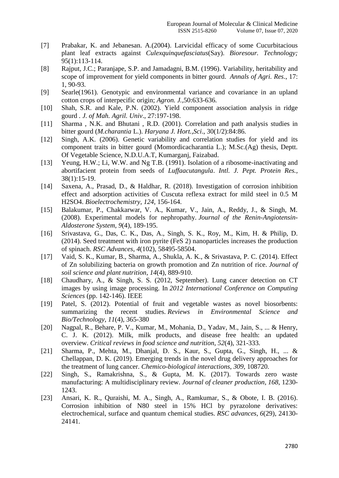- [7] Prabakar, K. and Jebanesan. A.(2004). Larvicidal efficacy of some Cucurbitacious plant leaf extracts against *Culexquinquefasciatus*(Say). *Bioresour. Technology;*  95(1):113-114.
- [8] Rajput, J.C.; Paranjape, S.P. and Jamadagni, B.M. (1996). Variability, heritability and scope of improvement for yield components in bitter gourd. *Annals of Agri. Res*., 17: 1, 90-93.
- [9] Searle(1961). Genotypic and environmental variance and covariance in an upland cotton crops of interpecific origin; *Agron. J.,*50:633-636.
- [10] Shah, S.R. and Kale, P.N. (2002). Yield component association analysis in ridge gourd *. J. of Mah. Agril. Univ*., 27:197-198.
- [11] Sharma, N.K. and Bhutani, R.D. (2001). Correlation and path analysis studies in bitter gourd (*M.charantia* L.). *Haryana J. Hort.,Sci*., 30(1/2):84:86.
- [12] Singh, A.K. (2006). Genetic variability and correlation studies for yield and its component traits in bitter gourd (Momordicacharantia L.); M.Sc.(Ag) thesis, Deptt. Of Vegetable Science, N.D.U.A.T, Kumarganj, Faizabad.
- [13] Yeung, H.W.; Li, W.W. and Ng T.B. (1991). Isolation of a ribosome-inactivating and abortifacient protein from seeds of *Luffaacutangula*. *Intl. J. Pept. Protein Res.,*  38(1):15-19.
- [14] Saxena, A., Prasad, D., & Haldhar, R. (2018). Investigation of corrosion inhibition effect and adsorption activities of Cuscuta reflexa extract for mild steel in 0.5 M H2SO4. *Bioelectrochemistry*, *124*, 156-164.
- [15] Balakumar, P., Chakkarwar, V. A., Kumar, V., Jain, A., Reddy, J., & Singh, M. (2008). Experimental models for nephropathy. *Journal of the Renin-Angiotensin-Aldosterone System*, *9*(4), 189-195.
- [16] Srivastava, G., Das, C. K., Das, A., Singh, S. K., Roy, M., Kim, H. & Philip, D. (2014). Seed treatment with iron pyrite (FeS 2) nanoparticles increases the production of spinach. *RSC Advances*, *4*(102), 58495-58504.
- [17] Vaid, S. K., Kumar, B., Sharma, A., Shukla, A. K., & Srivastava, P. C. (2014). Effect of Zn solubilizing bacteria on growth promotion and Zn nutrition of rice. *Journal of soil science and plant nutrition*, *14*(4), 889-910.
- [18] Chaudhary, A., & Singh, S. S. (2012, September). Lung cancer detection on CT images by using image processing. In *2012 International Conference on Computing Sciences* (pp. 142-146). IEEE
- [19] Patel, S. (2012). Potential of fruit and vegetable wastes as novel biosorbents: summarizing the recent studies. *Reviews in Environmental Science and Bio/Technology*, *11*(4), 365-380
- [20] Nagpal, R., Behare, P. V., Kumar, M., Mohania, D., Yadav, M., Jain, S., ... & Henry, C. J. K. (2012). Milk, milk products, and disease free health: an updated overview. *Critical reviews in food science and nutrition*, *52*(4), 321-333.
- [21] Sharma, P., Mehta, M., Dhanjal, D. S., Kaur, S., Gupta, G., Singh, H., ... & Chellappan, D. K. (2019). Emerging trends in the novel drug delivery approaches for the treatment of lung cancer. *Chemico-biological interactions*, *309*, 108720.
- [22] Singh, S., Ramakrishna, S., & Gupta, M. K. (2017). Towards zero waste manufacturing: A multidisciplinary review. *Journal of cleaner production*, *168*, 1230- 1243.
- [23] Ansari, K. R., Quraishi, M. A., Singh, A., Ramkumar, S., & Obote, I. B. (2016). Corrosion inhibition of N80 steel in 15% HCl by pyrazolone derivatives: electrochemical, surface and quantum chemical studies. *RSC advances*, *6*(29), 24130- 24141.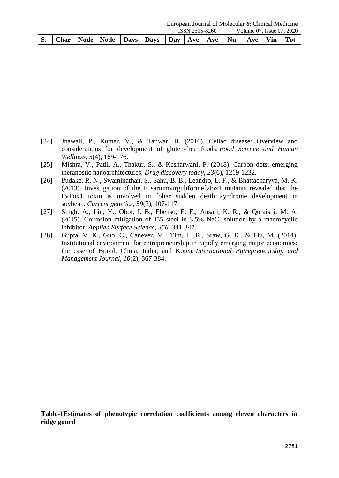| European Journal of Molecular & Clinical Medicine |  |  |  |                                                                           |  |                |  |  |                           |  |  |  |  |
|---------------------------------------------------|--|--|--|---------------------------------------------------------------------------|--|----------------|--|--|---------------------------|--|--|--|--|
|                                                   |  |  |  |                                                                           |  | ISSN 2515-8260 |  |  | Volume 07. Issue 07, 2020 |  |  |  |  |
|                                                   |  |  |  | Char   Node   Node   Days   Days   Day   Ave   Ave   Nu   Ave   Vin   Tot |  |                |  |  |                           |  |  |  |  |

- [24] Jnawali, P., Kumar, V., & Tanwar, B. (2016). Celiac disease: Overview and considerations for development of gluten-free foods. *Food Science and Human Wellness*, *5*(4), 169-176.
- [25] Mishra, V., Patil, A., Thakur, S., & Kesharwani, P. (2018). Carbon dots: emerging theranostic nanoarchitectures. *Drug discovery today*, *23*(6), 1219-1232.
- [26] Pudake, R. N., Swaminathan, S., Sahu, B. B., Leandro, L. F., & Bhattacharyya, M. K. (2013). Investigation of the Fusariumvirguliformefvtox1 mutants revealed that the FvTox1 toxin is involved in foliar sudden death syndrome development in soybean. *Current genetics*, *59*(3), 107-117.
- [27] Singh, A., Lin, Y., Obot, I. B., Ebenso, E. E., Ansari, K. R., & Quraishi, M. A. (2015). Corrosion mitigation of J55 steel in 3.5% NaCl solution by a macrocyclic inhibitor. *Applied Surface Science*, *356*, 341-347.
- [28] Gupta, V. K., Guo, C., Canever, M., Yim, H. R., Sraw, G. K., & Liu, M. (2014). Institutional environment for entrepreneurship in rapidly emerging major economies: the case of Brazil, China, India, and Korea. *International Entrepreneurship and Management Journal*, *10*(2), 367-384.

**Table-1Estimates of phenotypic correlation coefficients among eleven characters in ridge gourd**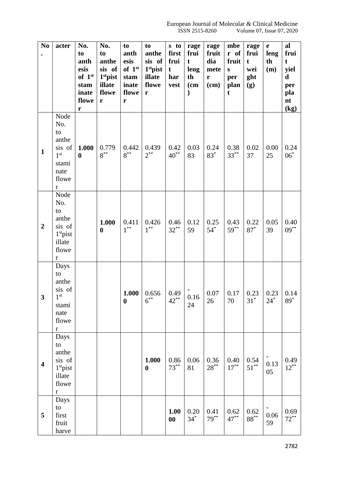| N <sub>0</sub>          | acter                     | No.                | No.                  | to                 | to                   | s to              | rage              | rage              | mbe                                | rage            | $\mathbf e$ | al          |
|-------------------------|---------------------------|--------------------|----------------------|--------------------|----------------------|-------------------|-------------------|-------------------|------------------------------------|-----------------|-------------|-------------|
| $\bullet$               |                           | to                 | to                   | anth               | anthe                | first             | frui              | fruit             | r of                               | frui            | leng        | frui        |
|                         |                           | anth               | anthe                | esis               | sis of               | frui              | t                 | dia               | fruit                              | t               | th          | t           |
|                         |                           | esis               | sis of               | of 1 <sup>st</sup> | 1 <sup>st</sup> pist | t                 | leng              | mete              | ${\bf S}$                          | wei             | (m)         | yiel        |
|                         |                           | of 1 <sup>st</sup> | 1 <sup>st</sup> pist | stam               | illate               | har               | th                | $\mathbf r$       | per                                | ght             |             | $\mathbf d$ |
|                         |                           | stam               | illate               | inate              | flowe                | vest              | (c <sub>m</sub> ) | (cm)              | plan                               | (g)             |             | per         |
|                         |                           | inate              | flowe                | flowe              | r                    |                   |                   |                   | t                                  |                 |             | pla         |
|                         |                           | flowe              | ${\bf r}$            | r                  |                      |                   |                   |                   |                                    |                 |             | nt          |
|                         |                           | r                  |                      |                    |                      |                   |                   |                   |                                    |                 |             | (kg)        |
|                         | Node                      |                    |                      |                    |                      |                   |                   |                   |                                    |                 |             |             |
|                         | No.                       |                    |                      |                    |                      |                   |                   |                   |                                    |                 |             |             |
|                         | to                        |                    |                      |                    |                      |                   |                   |                   |                                    |                 |             |             |
|                         | anthe                     |                    |                      |                    |                      |                   |                   |                   |                                    |                 |             |             |
|                         |                           |                    | 0.779                | 0.442              | 0.439                |                   |                   |                   |                                    |                 |             |             |
| $\mathbf{1}$            | sis of<br>1 <sup>st</sup> | 1.000              | $8^{**}$             | $8^{**}$           | $2^{**}$             | 0.42<br>$40^{**}$ | 0.03              | 0.24              | 0.38<br>$33***$                    | 0.02            | 0.00        | 0.24        |
|                         |                           | $\boldsymbol{0}$   |                      |                    |                      |                   | 83                | $83*$             |                                    | 37              | 25          | $06^*$      |
|                         | stami                     |                    |                      |                    |                      |                   |                   |                   |                                    |                 |             |             |
|                         | nate                      |                    |                      |                    |                      |                   |                   |                   |                                    |                 |             |             |
|                         | flowe                     |                    |                      |                    |                      |                   |                   |                   |                                    |                 |             |             |
|                         | $\bf r$                   |                    |                      |                    |                      |                   |                   |                   |                                    |                 |             |             |
|                         | Node                      |                    |                      |                    |                      |                   |                   |                   |                                    |                 |             |             |
|                         | No.                       |                    |                      |                    |                      |                   |                   |                   |                                    |                 |             |             |
|                         | to                        |                    |                      |                    |                      |                   |                   |                   |                                    |                 |             |             |
|                         | anthe                     |                    | 1.000                | 0.411              | 0.426                | 0.46              | 0.12              | 0.25              | 0.43                               | 0.22            | 0.05        | 0.40        |
| $\overline{2}$          | sis of                    |                    | $\boldsymbol{0}$     | $1^{**}$           | $1^{**}$             | $32***$           | 59                | $54$ <sup>*</sup> | $59***$                            | $87*$           | 39          | $09***$     |
|                         | $1st$ pist                |                    |                      |                    |                      |                   |                   |                   |                                    |                 |             |             |
|                         | illate                    |                    |                      |                    |                      |                   |                   |                   |                                    |                 |             |             |
|                         | flowe                     |                    |                      |                    |                      |                   |                   |                   |                                    |                 |             |             |
|                         | $\mathbf r$               |                    |                      |                    |                      |                   |                   |                   |                                    |                 |             |             |
|                         | Days                      |                    |                      |                    |                      |                   |                   |                   |                                    |                 |             |             |
|                         | to                        |                    |                      |                    |                      |                   |                   |                   |                                    |                 |             |             |
|                         | anthe                     |                    |                      |                    |                      |                   |                   |                   |                                    |                 |             |             |
|                         | sis of                    |                    |                      |                    | $1.000 \mid 0.656$   | 0.49              |                   |                   | $0.07$   0.17   0.23   0.23   0.14 |                 |             |             |
| 3                       | 1 <sup>st</sup>           |                    |                      | $\boldsymbol{0}$   | $6^{**}$             | $42***$           | 0.16              | 26                | 70                                 | $31^*$          | $24*$       | $89^*$      |
|                         | stami                     |                    |                      |                    |                      |                   | 24                |                   |                                    |                 |             |             |
|                         | nate                      |                    |                      |                    |                      |                   |                   |                   |                                    |                 |             |             |
|                         | flowe                     |                    |                      |                    |                      |                   |                   |                   |                                    |                 |             |             |
|                         | $\bf r$                   |                    |                      |                    |                      |                   |                   |                   |                                    |                 |             |             |
|                         | Days                      |                    |                      |                    |                      |                   |                   |                   |                                    |                 |             |             |
|                         | to                        |                    |                      |                    |                      |                   |                   |                   |                                    |                 |             |             |
|                         | anthe                     |                    |                      |                    |                      |                   |                   |                   |                                    |                 |             |             |
| $\overline{\mathbf{4}}$ | sis of                    |                    |                      |                    | 1.000                | 0.86              | 0.06              | 0.36              | 0.40                               | 0.54            |             | 0.49        |
|                         | $1st$ pist                |                    |                      |                    | $\bf{0}$             | $73***$           | 81                | $28***$           | $17***$                            | $51***$         | 0.13<br>05  | $12***$     |
|                         | illate                    |                    |                      |                    |                      |                   |                   |                   |                                    |                 |             |             |
|                         | flowe                     |                    |                      |                    |                      |                   |                   |                   |                                    |                 |             |             |
|                         | $\mathbf r$               |                    |                      |                    |                      |                   |                   |                   |                                    |                 |             |             |
|                         | Days                      |                    |                      |                    |                      |                   |                   |                   |                                    |                 |             |             |
|                         | to                        |                    |                      |                    |                      |                   |                   |                   |                                    |                 |             |             |
| 5                       | first                     |                    |                      |                    |                      | 1.00              | 0.20              | 0.41              | 0.62                               | 0.62            | 0.06        | 0.69        |
|                         | fruit                     |                    |                      |                    |                      | $\boldsymbol{00}$ | $34*$             | $79***$           | $47***$                            | $88^{\ast\ast}$ | 59          | $72***$     |
|                         | harve                     |                    |                      |                    |                      |                   |                   |                   |                                    |                 |             |             |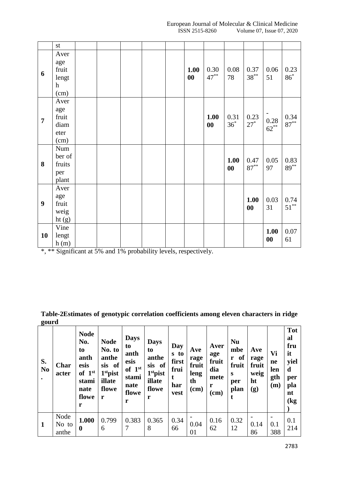European Journal of Molecular & Clinical Medicine<br>ISSN 2515-8260 Volume 07, Issue 07, 2020 Volume 07, Issue 07, 2020

|                  | $\operatorname{st}$                                  |  |  |            |                           |                           |                           |                           |                 |
|------------------|------------------------------------------------------|--|--|------------|---------------------------|---------------------------|---------------------------|---------------------------|-----------------|
| 6                | Aver<br>age<br>fruit<br>lengt<br>$\mathbf h$<br>(cm) |  |  | 1.00<br>00 | 0.30<br>$47***$           | 0.08<br>78                | 0.37<br>$38***$           | 0.06<br>51                | 0.23<br>$86*$   |
| $\overline{7}$   | Aver<br>age<br>fruit<br>diam<br>eter<br>(cm)         |  |  |            | 1.00<br>$\boldsymbol{00}$ | 0.31<br>$36^*$            | 0.23<br>$27*$             | 0.28<br>$62***$           | 0.34<br>$87***$ |
| 8                | Num<br>ber of<br>fruits<br>per<br>plant              |  |  |            |                           | 1.00<br>$\boldsymbol{00}$ | 0.47<br>$87***$           | 0.05<br>97                | 0.83<br>$89***$ |
| $\boldsymbol{9}$ | Aver<br>age<br>fruit<br>weig<br>ht(g)                |  |  |            |                           |                           | 1.00<br>$\boldsymbol{00}$ | 0.03<br>31                | 0.74<br>$51***$ |
| 10               | Vine<br>lengt<br>h(m)                                |  |  |            |                           |                           |                           | 1.00<br>$\boldsymbol{00}$ | 0.07<br>61      |

\*, \*\* Significant at 5% and 1% probability levels, respectively.

**Table-2Estimates of genotypic correlation coefficients among eleven characters in ridge gourd**

| S.<br>N <sub>0</sub> | Char<br>acter          | <b>Node</b><br>No.<br>to<br>anth<br>esis<br>of $1st$<br>stami<br>nate<br>flowe<br>r | <b>Node</b><br>No. to<br>anthe<br>sis of<br>$1st$ pist<br>illate<br>flowe<br>r | <b>Days</b><br>to<br>anth<br>esis<br>of $1st$<br>stami<br>nate<br>flowe<br>r | <b>Days</b><br>to<br>anthe<br>sis of<br>$1st$ pist<br>illate<br>flowe<br>r | Day<br>s to<br>first<br>frui<br>t<br>har<br>vest | Ave<br>rage<br>fruit<br>leng<br>th<br>$(cm)$ | Aver<br>age<br>fruit<br>dia<br>mete<br>r<br>$(cm)$ | <b>Nu</b><br>mbe<br>of<br>r<br>fruit<br>S<br>per<br>plan<br>t | Ave<br>rage<br>fruit<br>weig<br>ht<br>(g) | Vi<br>ne<br>len<br>gth<br>(m) | <b>Tot</b><br>al<br>fru<br>it<br>yiel<br>d<br>per<br>pla<br>nt<br>(kg) |
|----------------------|------------------------|-------------------------------------------------------------------------------------|--------------------------------------------------------------------------------|------------------------------------------------------------------------------|----------------------------------------------------------------------------|--------------------------------------------------|----------------------------------------------|----------------------------------------------------|---------------------------------------------------------------|-------------------------------------------|-------------------------------|------------------------------------------------------------------------|
| 1                    | Node<br>No to<br>anthe | 1.000<br>$\boldsymbol{0}$                                                           | 0.799<br>6                                                                     | 0.383<br>7                                                                   | 0.365<br>8                                                                 | 0.34<br>66                                       | 0.04<br>01                                   | 0.16<br>62                                         | 0.32<br>12                                                    | 0.14<br>86                                | 0.1<br>388                    | 0.1<br>214                                                             |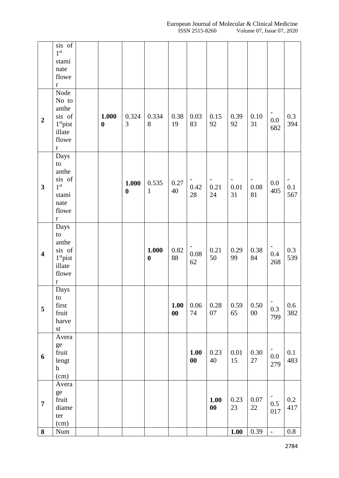|                         | $\overline{\text{sis}}$ of<br>$1^{\rm st}$<br>stami<br>nate<br>flowe<br>$\mathbf r$       |                           |                           |                           |                   |                           |                           |                                        |                |                                        |            |
|-------------------------|-------------------------------------------------------------------------------------------|---------------------------|---------------------------|---------------------------|-------------------|---------------------------|---------------------------|----------------------------------------|----------------|----------------------------------------|------------|
| $\boldsymbol{2}$        | Node<br>No to<br>anthe<br>sis of<br>$1st$ pist<br>illate<br>flowe<br>$\mathbf r$          | 1.000<br>$\boldsymbol{0}$ | 0.324<br>3                | 0.334<br>8                | 0.38<br>19        | 0.03<br>83                | 0.15<br>92                | 0.39<br>92                             | 0.10<br>31     | 0.0<br>682                             | 0.3<br>394 |
| $\overline{\mathbf{3}}$ | Days<br>to<br>anthe<br>sis of<br>$1^\mathrm{st}$<br>stami<br>nate<br>flowe<br>$\mathbf r$ |                           | 1.000<br>$\boldsymbol{0}$ | 0.535<br>$\mathbf{1}$     | 0.27<br>40        | 0.42<br>$28\,$            | 0.21<br>24                | $\overline{\phantom{a}}$<br>0.01<br>31 | 0.08<br>81     | 0.0<br>405                             | 0.1<br>567 |
| $\overline{\mathbf{4}}$ | Days<br>to<br>anthe<br>sis of<br>$1st$ pist<br>illate<br>flowe<br>$\mathbf r$             |                           |                           | 1.000<br>$\boldsymbol{0}$ | $0.82\,$<br>88    | $0.08\,$<br>62            | 0.21<br>50                | 0.29<br>99                             | 0.38<br>84     | 0.4<br>268                             | 0.3<br>539 |
| 5                       | Days<br>to<br>first<br>fruit<br>harve<br>$\operatorname{st}$                              |                           |                           |                           | 1.00<br>$\bf{00}$ | 0.06<br>74                | 0.28<br>07                | 0.59<br>65                             | 0.50<br>$00\,$ | $\overline{\phantom{a}}$<br>0.3<br>799 | 0.6<br>382 |
| 6                       | Avera<br>ge<br>fruit<br>lengt<br>$\boldsymbol{\textbf{h}}$<br>(cm)                        |                           |                           |                           |                   | 1.00<br>$\boldsymbol{00}$ | 0.23<br>40                | $0.01\,$<br>15                         | 0.30<br>27     | 0.0<br>279                             | 0.1<br>483 |
| $\overline{7}$          | Avera<br>ge<br>fruit<br>diame<br>ter<br>(cm)                                              |                           |                           |                           |                   |                           | 1.00<br>$\boldsymbol{00}$ | 0.23<br>23                             | 0.07<br>$22\,$ | $0.5\,$<br>017                         | 0.2<br>417 |
| 8                       | Num                                                                                       |                           |                           |                           |                   |                           |                           | 1.00                                   | 0.39           | $\overline{a}$                         | 0.8        |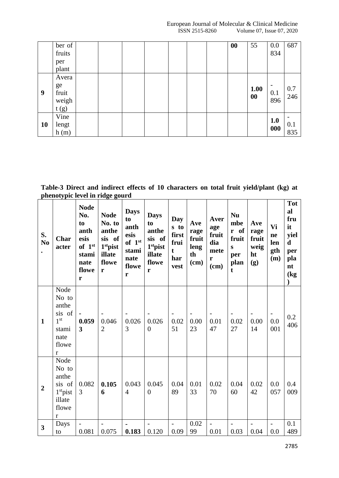European Journal of Molecular & Clinical Medicine<br>ISSN 2515-8260 Volume 07, Issue 07, 2020 Volume 07, Issue 07, 2020

|           | ber of<br>fruits |  |  |  | 00 | 55   | 0.0<br>834 | 687               |
|-----------|------------------|--|--|--|----|------|------------|-------------------|
|           | per<br>plant     |  |  |  |    |      |            |                   |
|           | Avera            |  |  |  |    |      |            |                   |
|           | ge               |  |  |  |    | 1.00 |            |                   |
| 9         | fruit            |  |  |  |    | 00   | 0.1        | $\frac{0.7}{246}$ |
|           | weigh            |  |  |  |    |      | 896        |                   |
|           | t(g)             |  |  |  |    |      |            |                   |
|           | Vine             |  |  |  |    |      | 1.0        |                   |
| <b>10</b> | lengt            |  |  |  |    |      |            | 0.1               |
|           | h(m)             |  |  |  |    |      | 000        | 835               |

**Table-3 Direct and indirect effects of 10 characters on total fruit yield/plant (kg) at phenotypic level in ridge gourd**

| S.<br>N <sub>0</sub> | Char<br>acter                                                                                 | <b>Node</b><br>No.<br>to<br>anth<br>esis<br>of 1st<br>stami<br>nate<br>flowe<br>r | <b>Node</b><br>No. to<br>anthe<br>sis of<br>1st pist<br>illate<br>flowe<br>r | <b>Days</b><br>to<br>anth<br>esis<br>of $1st$<br>stami<br>nate<br>flowe<br>r | <b>Days</b><br>to<br>anthe<br>sis of<br>1 <sup>st</sup> pist<br>illate<br>flowe<br>r | Day<br>s to<br>first<br>frui<br>$\mathbf t$<br>har<br>vest | Ave<br>rage<br>fruit<br>leng<br>th<br>(cm) | Aver<br>age<br>fruit<br>dia<br>mete<br>r<br>(cm) | <b>Nu</b><br>mbe<br>r of<br>fruit<br>S<br>per<br>plan<br>$\mathbf t$ | Ave<br>rage<br>fruit<br>weig<br>ht<br>(g) | Vi<br>ne<br>len<br>gth<br>(m) | <b>Tot</b><br>al<br>fru<br>it<br>yiel<br>$\mathbf d$<br>per<br>pla<br>nt<br>$\log$ |
|----------------------|-----------------------------------------------------------------------------------------------|-----------------------------------------------------------------------------------|------------------------------------------------------------------------------|------------------------------------------------------------------------------|--------------------------------------------------------------------------------------|------------------------------------------------------------|--------------------------------------------|--------------------------------------------------|----------------------------------------------------------------------|-------------------------------------------|-------------------------------|------------------------------------------------------------------------------------|
| $\mathbf{1}$         | Node<br>No to<br>anthe<br>sis of<br>1 <sup>st</sup><br>stami<br>nate<br>flowe<br>$\mathbf{r}$ | 0.059<br>$\mathbf{3}$                                                             | 0.046<br>$\overline{2}$                                                      | 0.026<br>3                                                                   | 0.026<br>$\theta$                                                                    | 0.02<br>51                                                 | 0.00<br>23                                 | 0.01<br>47                                       | 0.02<br>27                                                           | 0.00<br>14                                | 0.0<br>001                    | 0.2<br>406                                                                         |
| $\overline{2}$       | Node<br>No to<br>anthe<br>sis of<br>$1st$ pist<br>illate<br>flowe<br>$\mathbf r$              | 0.082<br>3                                                                        | 0.105<br>6                                                                   | 0.043<br>$\overline{4}$                                                      | 0.045<br>$\theta$                                                                    | 0.04<br>89                                                 | 0.01<br>33                                 | 0.02<br>70                                       | 0.04<br>60                                                           | 0.02<br>42                                | 0.0<br>057                    | 0.4<br>009                                                                         |
| $\mathbf{3}$         | Days<br>to                                                                                    | 0.081                                                                             | 0.075                                                                        | 0.183                                                                        | 0.120                                                                                | 0.09                                                       | 0.02<br>99                                 | 0.01                                             | 0.03                                                                 | 0.04                                      | 0.0                           | 0.1<br>489                                                                         |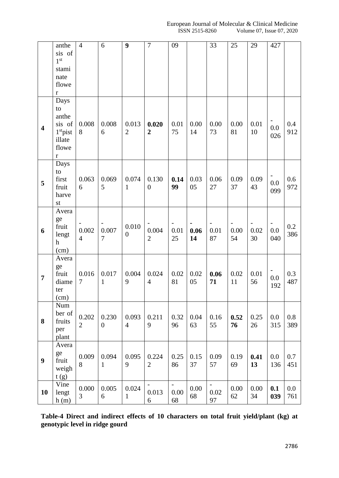|                         | anthe           | $\overline{4}$ | 6                       | 9              | $\overline{7}$   | 09                       |      | 33                       | 25   | 29   | 427 |     |
|-------------------------|-----------------|----------------|-------------------------|----------------|------------------|--------------------------|------|--------------------------|------|------|-----|-----|
|                         | sis of          |                |                         |                |                  |                          |      |                          |      |      |     |     |
|                         | 1 <sup>st</sup> |                |                         |                |                  |                          |      |                          |      |      |     |     |
|                         | stami           |                |                         |                |                  |                          |      |                          |      |      |     |     |
|                         | nate            |                |                         |                |                  |                          |      |                          |      |      |     |     |
|                         | flowe           |                |                         |                |                  |                          |      |                          |      |      |     |     |
|                         | $\mathbf r$     |                |                         |                |                  |                          |      |                          |      |      |     |     |
|                         | Days            |                |                         |                |                  |                          |      |                          |      |      |     |     |
|                         | to              |                |                         |                |                  |                          |      |                          |      |      |     |     |
|                         | anthe           |                |                         |                |                  |                          |      |                          |      |      |     |     |
| $\overline{\mathbf{4}}$ | sis of          | 0.008          | 0.008                   | 0.013          | 0.020            | 0.01                     | 0.00 | 0.00                     | 0.00 | 0.01 | 0.0 | 0.4 |
|                         | $1st$ pist      | 8              | 6                       | $\overline{2}$ | $\boldsymbol{2}$ | 75                       | 14   | 73                       | 81   | 10   | 026 | 912 |
|                         | illate          |                |                         |                |                  |                          |      |                          |      |      |     |     |
|                         | flowe           |                |                         |                |                  |                          |      |                          |      |      |     |     |
|                         | $\bf r$         |                |                         |                |                  |                          |      |                          |      |      |     |     |
|                         | Days<br>to      |                |                         |                |                  |                          |      |                          |      |      |     |     |
|                         | first           | 0.063          | 0.069                   | 0.074          | 0.130            | 0.14                     | 0.03 | 0.06                     | 0.09 | 0.09 |     | 0.6 |
| 5                       | fruit           | 6              | 5                       | 1              | $\theta$         | 99                       | 05   | 27                       | 37   | 43   | 0.0 | 972 |
|                         | harve           |                |                         |                |                  |                          |      |                          |      |      | 099 |     |
|                         | st              |                |                         |                |                  |                          |      |                          |      |      |     |     |
|                         | Avera           |                |                         |                |                  |                          |      |                          |      |      |     |     |
|                         | ge              |                |                         |                |                  |                          |      |                          |      |      |     |     |
|                         | fruit           |                |                         | 0.010          |                  |                          |      |                          |      |      |     | 0.2 |
| 6                       | lengt           | 0.002          | 0.007<br>$\overline{7}$ | $\overline{0}$ | 0.004            | 0.01                     | 0.06 | 0.01                     | 0.00 | 0.02 | 0.0 | 386 |
|                         | h               | $\overline{4}$ |                         |                | $\overline{2}$   | 25                       | 14   | 87                       | 54   | 30   | 040 |     |
|                         | (cm)            |                |                         |                |                  |                          |      |                          |      |      |     |     |
|                         | Avera           |                |                         |                |                  |                          |      |                          |      |      |     |     |
|                         | ge              |                |                         |                |                  |                          |      |                          |      |      |     |     |
| $\overline{7}$          | fruit           | 0.016          | 0.017                   | 0.004          | 0.024            | 0.02                     | 0.02 | 0.06                     | 0.02 | 0.01 | 0.0 | 0.3 |
|                         | diame           | 7              | $\mathbf{1}$            | 9              | $\overline{4}$   | 81                       | 05   | 71                       | 11   | 56   | 192 | 487 |
|                         | ter             |                |                         |                |                  |                          |      |                          |      |      |     |     |
|                         | (cm)            |                |                         |                |                  |                          |      |                          |      |      |     |     |
|                         | Num<br>ber of   |                |                         |                |                  |                          |      |                          |      |      |     |     |
| 8                       | fruits          | 0.202          | 0.230                   | 0.093          | 0.211            | 0.32                     | 0.04 | 0.16                     | 0.52 | 0.25 | 0.0 | 0.8 |
|                         | per             | $\mathbf{2}$   | $\overline{0}$          | $\overline{4}$ | 9                | 96                       | 63   | 55                       | 76   | 26   | 315 | 389 |
|                         | plant           |                |                         |                |                  |                          |      |                          |      |      |     |     |
|                         | Avera           |                |                         |                |                  |                          |      |                          |      |      |     |     |
|                         | ge              |                |                         |                |                  |                          |      |                          |      |      |     |     |
| 9                       | fruit           | 0.009          | 0.094                   | 0.095          | 0.224            | 0.25                     | 0.15 | 0.09                     | 0.19 | 0.41 | 0.0 | 0.7 |
|                         | weigh           | 8              | $\mathbf{1}$            | 9              | $\overline{2}$   | 86                       | 37   | 57                       | 69   | 13   | 136 | 451 |
|                         | t(g)            |                |                         |                |                  |                          |      |                          |      |      |     |     |
|                         | Vine            |                |                         |                | $\blacksquare$   | $\overline{\phantom{a}}$ |      | $\overline{\phantom{0}}$ |      |      |     |     |
| 10                      | lengt           | 0.000<br>3     | 0.005                   | 0.024          | 0.013            | 0.00                     | 0.00 | 0.02                     | 0.00 | 0.00 | 0.1 | 0.0 |
|                         | h(m)            |                | 6                       | $\mathbf{1}$   | 6                | 68                       | 68   | 97                       | 62   | 34   | 039 | 761 |

**Table-4 Direct and indirect effects of 10 characters on total fruit yield/plant (kg) at genotypic level in ridge gourd**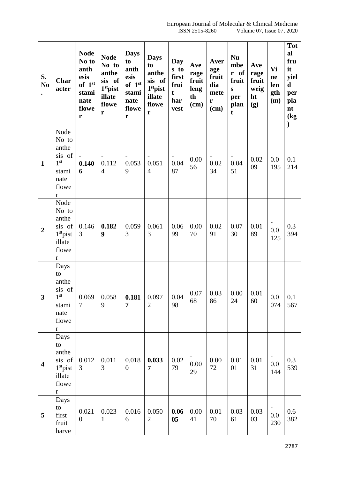| S.<br>N <sub>0</sub>    | <b>Char</b><br>acter                                                                   | <b>Node</b><br>No to<br>anth<br>esis<br>of $1st$<br>stami<br>nate<br>flowe<br>r | <b>Node</b><br>No to<br>anthe<br>sis of<br>1stpist<br>illate<br>flowe<br>$\mathbf r$ | <b>Days</b><br>to<br>anth<br>esis<br>of $1st$<br>stami<br>nate<br>flowe<br>$\mathbf r$ | <b>Days</b><br>to<br>anthe<br>sis of<br>1 <sup>st</sup> pist<br>illate<br>flowe<br>$\mathbf r$ | Day<br>s to<br>first<br>frui<br>$\mathbf t$<br>har<br>vest | Ave<br>rage<br>fruit<br>leng<br>th<br>$(cm)$ | Aver<br>age<br>fruit<br>dia<br>mete<br>r<br>(cm) | <b>Nu</b><br>mbe<br>r of<br>fruit<br>${\bf S}$<br>per<br>plan<br>t | Ave<br>rage<br>fruit<br>weig<br>ht<br>(g) | Vi<br>ne<br>len<br>gth<br>(m) | <b>Tot</b><br>al<br>fru<br>it<br>yiel<br>$\mathbf d$<br>per<br>pla<br>nt<br>$\log$ |
|-------------------------|----------------------------------------------------------------------------------------|---------------------------------------------------------------------------------|--------------------------------------------------------------------------------------|----------------------------------------------------------------------------------------|------------------------------------------------------------------------------------------------|------------------------------------------------------------|----------------------------------------------|--------------------------------------------------|--------------------------------------------------------------------|-------------------------------------------|-------------------------------|------------------------------------------------------------------------------------|
| $\mathbf{1}$            | Node<br>No to<br>anthe<br>sis of<br>$1^{\rm{st}}$<br>stami<br>nate<br>flowe<br>$\bf r$ | 0.140<br>6                                                                      | 0.112<br>$\overline{4}$                                                              | 0.053<br>9                                                                             | 0.051<br>$\overline{4}$                                                                        | 0.04<br>87                                                 | 0.00<br>56                                   | 0.02<br>34                                       | 0.04<br>51                                                         | 0.02<br>09                                | 0.0<br>195                    | 0.1<br>214                                                                         |
| $\overline{2}$          | Node<br>No to<br>anthe<br>sis of<br>$1st$ pist<br>illate<br>flowe<br>$\mathbf r$       | 0.146<br>3                                                                      | 0.182<br>9                                                                           | 0.059<br>3                                                                             | 0.061<br>3                                                                                     | 0.06<br>99                                                 | 0.00<br>70                                   | 0.02<br>91                                       | 0.07<br>30                                                         | 0.01<br>89                                | 0.0<br>125                    | 0.3<br>394                                                                         |
| 3                       | Days<br>to<br>anthe<br>sis of<br>1 <sup>st</sup><br>stami<br>nate<br>flowe<br>$\bf r$  | 0.069<br>7                                                                      | 0.058<br>9                                                                           | 0.181<br>$\overline{7}$                                                                | 0.097<br>$\overline{2}$                                                                        | 0.04<br>98                                                 | 0.07<br>68                                   | 0.03<br>86                                       | 0.00<br>24                                                         | 0.01<br>60                                | 0.0<br>074                    | 0.1<br>567                                                                         |
| $\overline{\mathbf{4}}$ | Days<br>to<br>anthe<br>sis of<br>$1st$ pist<br>illate<br>flowe<br>$\mathbf r$          | 0.012<br>3                                                                      | 0.011<br>3                                                                           | 0.018<br>$\overline{0}$                                                                | 0.033<br>$\overline{7}$                                                                        | 0.02<br>79                                                 | 0.00<br>29                                   | 0.00<br>72                                       | 0.01<br>01                                                         | 0.01<br>31                                | 0.0<br>144                    | 0.3<br>539                                                                         |
| 5                       | Days<br>to<br>first<br>fruit<br>harve                                                  | 0.021<br>$\boldsymbol{0}$                                                       | 0.023<br>$\mathbf{1}$                                                                | 0.016<br>6                                                                             | 0.050<br>$\overline{2}$                                                                        | 0.06<br>0 <sub>5</sub>                                     | 0.00<br>41                                   | 0.01<br>70                                       | 0.03<br>61                                                         | 0.03<br>03                                | 0.0<br>230                    | 0.6<br>382                                                                         |